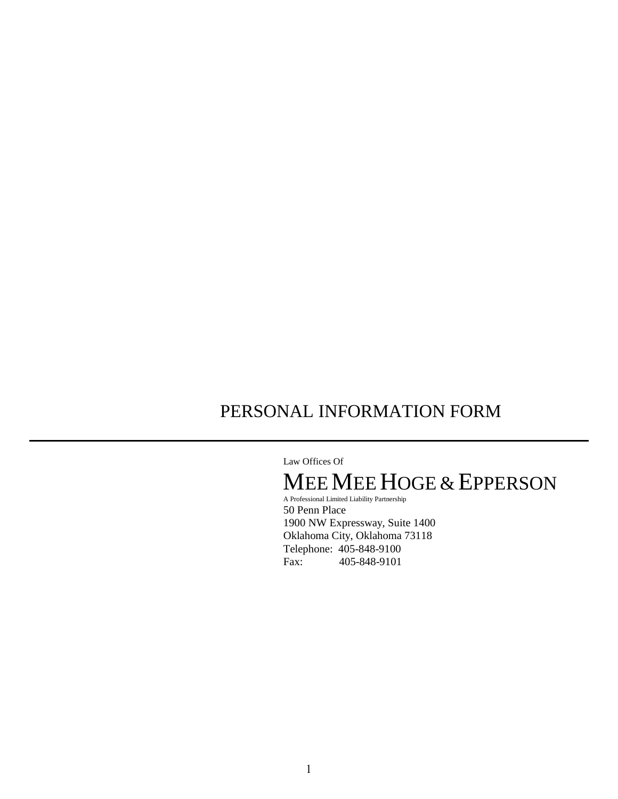# PERSONAL INFORMATION FORM

Law Offices Of

# MEEMEEHOGE & EPPERSON

A Professional Limited Liability Partnership 50 Penn Place 1900 NW Expressway, Suite 1400 Oklahoma City, Oklahoma 73118 Telephone: 405-848-9100<br>Fax: 405-848-9101 Fax: 405-848-9101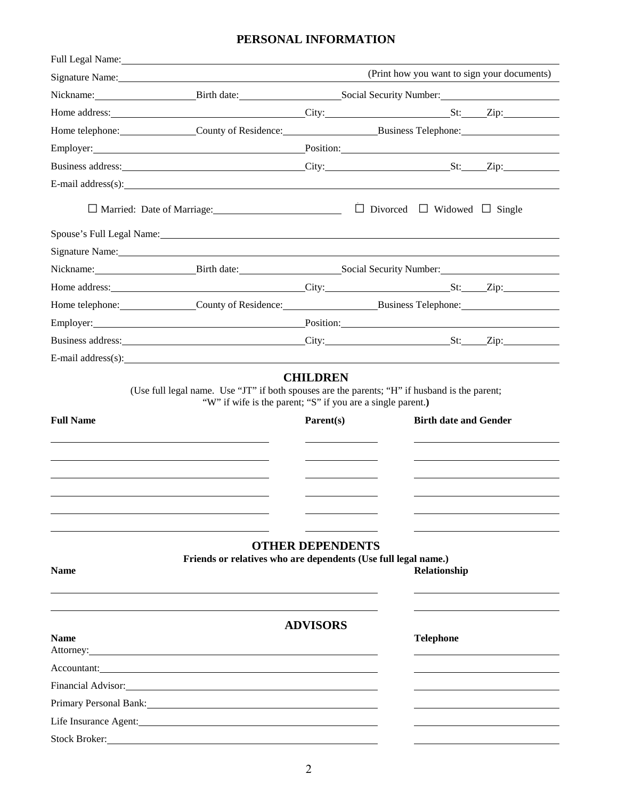## **PERSONAL INFORMATION**

|                      | Full Legal Name: 1998 and 1999 and 1999 and 1999 and 1999 and 1999 and 1999 and 1999 and 1999 and 1999 and 199                                                                                                                                                                                                                                              |                         |                                              |                                             |
|----------------------|-------------------------------------------------------------------------------------------------------------------------------------------------------------------------------------------------------------------------------------------------------------------------------------------------------------------------------------------------------------|-------------------------|----------------------------------------------|---------------------------------------------|
|                      | Signature Name: 1988                                                                                                                                                                                                                                                                                                                                        |                         |                                              | (Print how you want to sign your documents) |
|                      | Nickname: Birth date: Social Security Number: Social Security Number:                                                                                                                                                                                                                                                                                       |                         |                                              |                                             |
|                      |                                                                                                                                                                                                                                                                                                                                                             |                         |                                              |                                             |
|                      | Home telephone: County of Residence: Business Telephone: County of Residence: Business Telephone:                                                                                                                                                                                                                                                           |                         |                                              |                                             |
|                      | Employer: Position: Position:                                                                                                                                                                                                                                                                                                                               |                         |                                              |                                             |
|                      |                                                                                                                                                                                                                                                                                                                                                             |                         |                                              |                                             |
|                      | E-mail address(s):                                                                                                                                                                                                                                                                                                                                          |                         |                                              |                                             |
|                      |                                                                                                                                                                                                                                                                                                                                                             |                         | $\Box$ Divorced $\Box$ Widowed $\Box$ Single |                                             |
|                      |                                                                                                                                                                                                                                                                                                                                                             |                         |                                              |                                             |
|                      | Signature Name: 1988. The Contract of the Second Contract of the Contract of the Contract of the Contract of the Contract of the Contract of the Contract of the Contract of the Contract of the Contract of the Contract of t                                                                                                                              |                         |                                              |                                             |
|                      | Nickname: Birth date: Social Security Number: Social Security Number:                                                                                                                                                                                                                                                                                       |                         |                                              |                                             |
|                      |                                                                                                                                                                                                                                                                                                                                                             |                         |                                              |                                             |
|                      | Home telephone: County of Residence: Business Telephone: County of Residence: Business Telephone:                                                                                                                                                                                                                                                           |                         |                                              |                                             |
|                      | Employer: Position: Position:                                                                                                                                                                                                                                                                                                                               |                         |                                              |                                             |
|                      |                                                                                                                                                                                                                                                                                                                                                             |                         |                                              |                                             |
|                      | E-mail address(s): $\qquad \qquad$ $\qquad \qquad$ $\qquad$ $\qquad \qquad$ $\qquad \qquad$ $\qquad \qquad$ $\qquad \qquad$ $\qquad \qquad$ $\qquad \qquad$ $\qquad \qquad$ $\qquad$ $\qquad \qquad$ $\qquad \qquad$ $\qquad$ $\qquad$ $\qquad$ $\qquad$ $\qquad$ $\qquad$ $\qquad$ $\qquad$ $\qquad$ $\qquad$ $\qquad$ $\qquad$ $\qquad$ $\qquad$ $\qquad$ |                         |                                              |                                             |
| <b>Full Name</b>     | "W" if wife is the parent; "S" if you are a single parent.)                                                                                                                                                                                                                                                                                                 | Parent(s)               | <b>Birth date and Gender</b>                 |                                             |
|                      |                                                                                                                                                                                                                                                                                                                                                             |                         |                                              |                                             |
| <b>Name</b>          | Friends or relatives who are dependents (Use full legal name.)                                                                                                                                                                                                                                                                                              | <b>OTHER DEPENDENTS</b> | Relationship                                 |                                             |
| <b>Name</b>          | Attorney: Note that the contract of the contract of the contract of the contract of the contract of the contract of the contract of the contract of the contract of the contract of the contract of the contract of the contra                                                                                                                              | <b>ADVISORS</b>         | <b>Telephone</b>                             |                                             |
|                      | Accountant:                                                                                                                                                                                                                                                                                                                                                 |                         |                                              |                                             |
|                      | Financial Advisor: 1999 and 2008 and 2009 and 2009 and 2009 and 2009 and 2009 and 2009 and 2009 and 2009 and 20                                                                                                                                                                                                                                             |                         |                                              |                                             |
|                      | Primary Personal Bank: National Bank: National Bank and Security and Security and Security and Security and Security and Security and Security and Security and Security and Security and Security and Security and Security a                                                                                                                              |                         |                                              |                                             |
|                      | Life Insurance Agent: National Agents and Agents and Agents and Agents and Agents and Agents and Agents and Agents and Agents and Agents and Agents and Agents and Agents and Agents and Agents and Agents and Agents and Agen                                                                                                                              |                         |                                              |                                             |
| <b>Stock Broker:</b> | <u> 1989 - Johann Stein, mars and de Britain (b. 1989)</u>                                                                                                                                                                                                                                                                                                  |                         |                                              |                                             |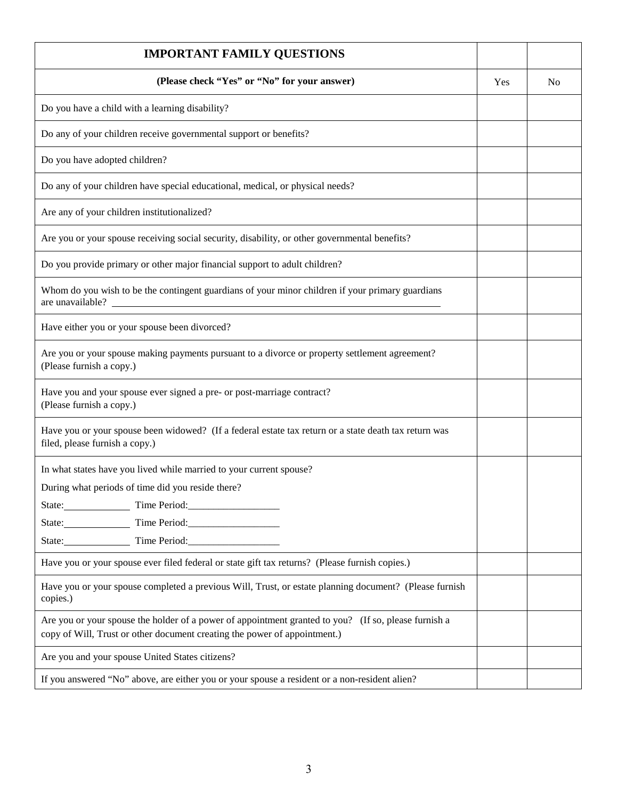| <b>IMPORTANT FAMILY QUESTIONS</b>                                                                                                                                                 |     |                |
|-----------------------------------------------------------------------------------------------------------------------------------------------------------------------------------|-----|----------------|
| (Please check "Yes" or "No" for your answer)                                                                                                                                      | Yes | N <sub>0</sub> |
| Do you have a child with a learning disability?                                                                                                                                   |     |                |
| Do any of your children receive governmental support or benefits?                                                                                                                 |     |                |
| Do you have adopted children?                                                                                                                                                     |     |                |
| Do any of your children have special educational, medical, or physical needs?                                                                                                     |     |                |
| Are any of your children institutionalized?                                                                                                                                       |     |                |
| Are you or your spouse receiving social security, disability, or other governmental benefits?                                                                                     |     |                |
| Do you provide primary or other major financial support to adult children?                                                                                                        |     |                |
| Whom do you wish to be the contingent guardians of your minor children if your primary guardians<br>are unavailable?                                                              |     |                |
| Have either you or your spouse been divorced?                                                                                                                                     |     |                |
| Are you or your spouse making payments pursuant to a divorce or property settlement agreement?<br>(Please furnish a copy.)                                                        |     |                |
| Have you and your spouse ever signed a pre- or post-marriage contract?<br>(Please furnish a copy.)                                                                                |     |                |
| Have you or your spouse been widowed? (If a federal estate tax return or a state death tax return was<br>filed, please furnish a copy.)                                           |     |                |
| In what states have you lived while married to your current spouse?                                                                                                               |     |                |
| During what periods of time did you reside there?                                                                                                                                 |     |                |
| State: Time Period:                                                                                                                                                               |     |                |
| State: Time Period:                                                                                                                                                               |     |                |
| State: Time Period:                                                                                                                                                               |     |                |
| Have you or your spouse ever filed federal or state gift tax returns? (Please furnish copies.)                                                                                    |     |                |
| Have you or your spouse completed a previous Will, Trust, or estate planning document? (Please furnish<br>copies.)                                                                |     |                |
| Are you or your spouse the holder of a power of appointment granted to you? (If so, please furnish a<br>copy of Will, Trust or other document creating the power of appointment.) |     |                |
| Are you and your spouse United States citizens?                                                                                                                                   |     |                |
| If you answered "No" above, are either you or your spouse a resident or a non-resident alien?                                                                                     |     |                |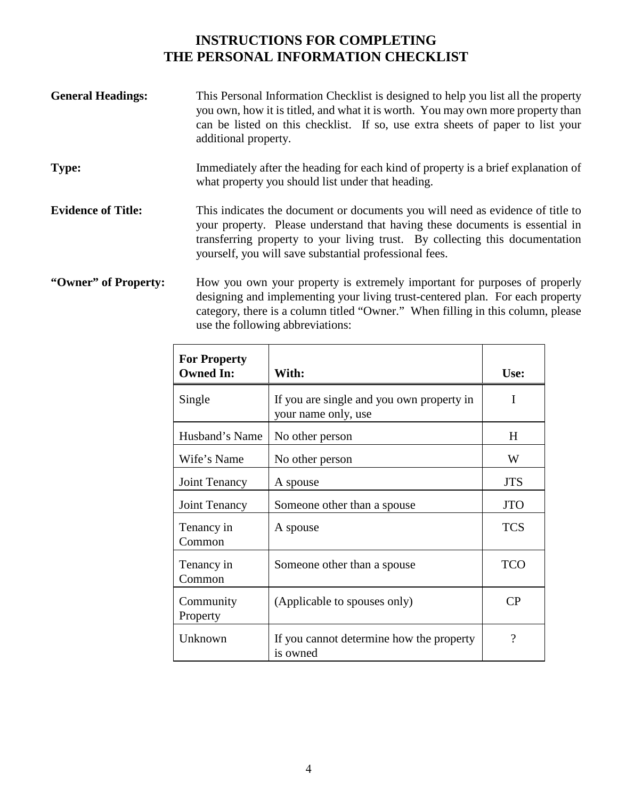# **INSTRUCTIONS FOR COMPLETING THE PERSONAL INFORMATION CHECKLIST**

| <b>General Headings:</b>  | This Personal Information Checklist is designed to help you list all the property<br>you own, how it is titled, and what it is worth. You may own more property than<br>can be listed on this checklist. If so, use extra sheets of paper to list your<br>additional property.                           |
|---------------------------|----------------------------------------------------------------------------------------------------------------------------------------------------------------------------------------------------------------------------------------------------------------------------------------------------------|
| <b>Type:</b>              | Immediately after the heading for each kind of property is a brief explanation of<br>what property you should list under that heading.                                                                                                                                                                   |
| <b>Evidence of Title:</b> | This indicates the document or documents you will need as evidence of title to<br>your property. Please understand that having these documents is essential in<br>transferring property to your living trust. By collecting this documentation<br>yourself, you will save substantial professional fees. |
| "Owner" of Property:      | How you own your property is extremely important for purposes of properly<br>decipring and implementing your living twist contenued plan. For each proporty                                                                                                                                              |

designing and implementing your living trust-centered plan. For each property category, there is a column titled "Owner." When filling in this column, please use the following abbreviations:

| <b>For Property</b><br><b>Owned In:</b> | With:                                                            | Use:                  |
|-----------------------------------------|------------------------------------------------------------------|-----------------------|
| Single                                  | If you are single and you own property in<br>your name only, use | I                     |
| Husband's Name                          | No other person                                                  | H                     |
| Wife's Name                             | No other person                                                  | W                     |
| Joint Tenancy                           | A spouse                                                         | <b>JTS</b>            |
| Joint Tenancy                           | Someone other than a spouse                                      | <b>JTO</b>            |
| Tenancy in<br>Common                    | A spouse                                                         | <b>TCS</b>            |
| Tenancy in<br>Common                    | Someone other than a spouse                                      | <b>TCO</b>            |
| Community<br>Property                   | (Applicable to spouses only)                                     | $\rm CP$              |
| Unknown                                 | If you cannot determine how the property<br>is owned             | $\boldsymbol{\gamma}$ |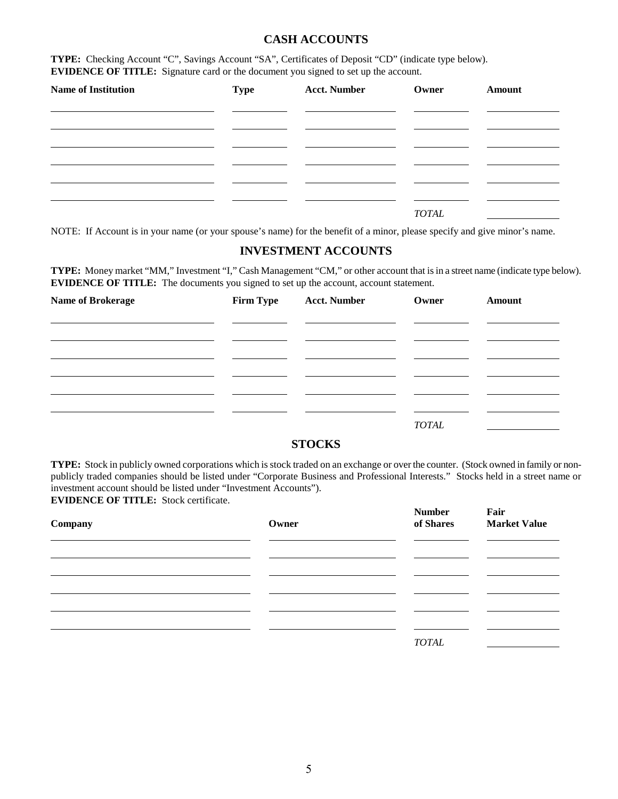#### **CASH ACCOUNTS**

**TYPE:** Checking Account "C", Savings Account "SA", Certificates of Deposit "CD" (indicate type below). **EVIDENCE OF TITLE:** Signature card or the document you signed to set up the account.

| <b>Name of Institution</b> | <b>Type</b> | <b>Acct. Number</b> | Owner        | Amount |
|----------------------------|-------------|---------------------|--------------|--------|
|                            |             |                     |              |        |
|                            |             |                     |              |        |
|                            |             |                     |              |        |
|                            |             |                     |              |        |
|                            |             |                     | <b>TOTAL</b> |        |

NOTE: If Account is in your name (or your spouse's name) for the benefit of a minor, please specify and give minor's name.

#### **INVESTMENT ACCOUNTS**

**TYPE:** Money market "MM," Investment "I," Cash Management "CM," or other account that is in a street name (indicate type below). **EVIDENCE OF TITLE:** The documents you signed to set up the account, account statement.

| <b>Name of Brokerage</b> | <b>Firm Type</b> | <b>Acct. Number</b> | Owner        | Amount |
|--------------------------|------------------|---------------------|--------------|--------|
|                          |                  |                     |              |        |
|                          |                  |                     |              |        |
|                          |                  |                     |              |        |
|                          |                  |                     |              |        |
|                          |                  |                     |              |        |
|                          |                  |                     | <b>TOTAL</b> |        |

#### **STOCKS**

**TYPE:** Stock in publicly owned corporations which is stock traded on an exchange or over the counter. (Stock owned in family or nonpublicly traded companies should be listed under "Corporate Business and Professional Interests." Stocks held in a street name or investment account should be listed under "Investment Accounts"). **EVIDENCE OF TITLE:** Stock certificate.

**Number Fair Company Company Company Company Company Company Company Company Company Company Company Company Company Company Company Company Company Company Company Company Company Company Company Company Company Company Company Compa**  $\ddot{\phantom{a}}$ l l *TOTAL*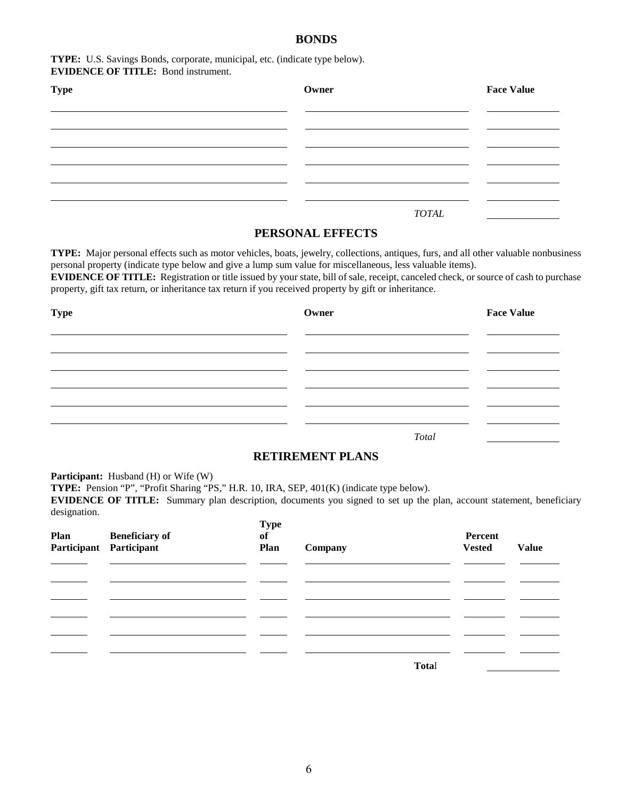#### **BONDS**

#### **TYPE:** U.S. Savings Bonds, corporate, municipal, etc. (indicate type below). **EVIDENCE OF TITLE:** Bond instrument.

| <b>Type</b> | Owner | <b>Face Value</b> |  |
|-------------|-------|-------------------|--|
|             |       |                   |  |
|             |       |                   |  |
|             |       |                   |  |
|             |       |                   |  |
|             |       |                   |  |
|             |       | <b>TOTAL</b>      |  |

#### **PERSONAL EFFECTS**

**TYPE:** Major personal effects such as motor vehicles, boats, jewelry, collections, antiques, furs, and all other valuable nonbusiness personal property (indicate type below and give a lump sum value for miscellaneous, less valuable items).

**EVIDENCE OF TITLE:** Registration or title issued by your state, bill of sale, receipt, canceled check, or source of cash to purchase property, gift tax return, or inheritance tax return if you received property by gift or inheritance.

| <b>Type</b> | Owner |       | <b>Face Value</b> |
|-------------|-------|-------|-------------------|
|             |       |       |                   |
|             |       |       |                   |
|             |       |       |                   |
|             |       |       |                   |
|             |       |       |                   |
|             |       | Total |                   |

#### **RETIREMENT PLANS**

Participant: Husband (H) or Wife (W)

**TYPE:** Pension "P", "Profit Sharing "PS," H.R. 10, IRA, SEP, 401(K) (indicate type below).

**EVIDENCE OF TITLE:** Summary plan description, documents you signed to set up the plan, account statement, beneficiary designation.

| Plan | <b>Beneficiary of</b>   | <b>Type</b><br>of |         | Percent       |              |
|------|-------------------------|-------------------|---------|---------------|--------------|
|      | Participant Participant | Plan              | Company | <b>Vested</b> | <b>Value</b> |
|      |                         |                   |         |               |              |
|      |                         |                   |         |               |              |
|      |                         |                   |         |               |              |
|      |                         |                   |         |               |              |
|      |                         |                   |         |               |              |
|      |                         |                   |         |               |              |
|      |                         |                   |         |               |              |
|      |                         |                   | Total   |               |              |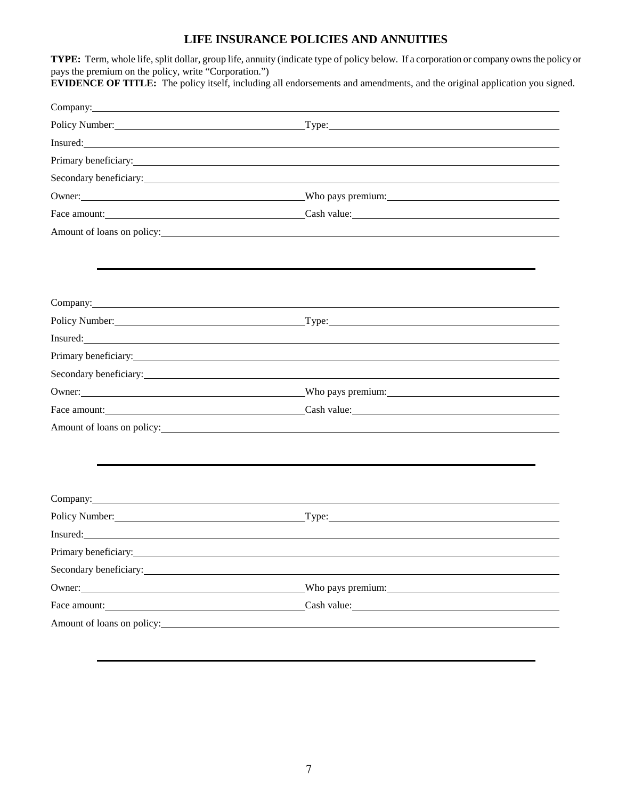## **LIFE INSURANCE POLICIES AND ANNUITIES**

| pays the premium on the policy, write "Corporation.")                                                                                                                                                                                | TYPE: Term, whole life, split dollar, group life, annuity (indicate type of policy below. If a corporation or company owns the policy or<br><b>EVIDENCE OF TITLE:</b> The policy itself, including all endorsements and amendments, and the original application you signed. |
|--------------------------------------------------------------------------------------------------------------------------------------------------------------------------------------------------------------------------------------|------------------------------------------------------------------------------------------------------------------------------------------------------------------------------------------------------------------------------------------------------------------------------|
|                                                                                                                                                                                                                                      | Company: Company:                                                                                                                                                                                                                                                            |
|                                                                                                                                                                                                                                      | Policy Number: Type: Type: Type: Type: Type: Type: Type: Type: Type: Type: Type: Type: Type: Type: Type: Type: Type: Type: Type: Type: Type: Type: Type: Type: Type: Type: Type: Type: Type: Type: Type: Type: Type: Type: Typ                                               |
|                                                                                                                                                                                                                                      | Insured: New York and the Community of the Community of the Community of the Community of the Community of the Community of the Community of the Community of the Community of the Community of the Community of the Community                                               |
|                                                                                                                                                                                                                                      | Primary beneficiary:                                                                                                                                                                                                                                                         |
|                                                                                                                                                                                                                                      | Secondary beneficiary:                                                                                                                                                                                                                                                       |
|                                                                                                                                                                                                                                      | Owner: Who pays premium: Who pays premium:                                                                                                                                                                                                                                   |
|                                                                                                                                                                                                                                      | Face amount: Cash value: Cash value:                                                                                                                                                                                                                                         |
| Amount of loans on policy:                                                                                                                                                                                                           |                                                                                                                                                                                                                                                                              |
|                                                                                                                                                                                                                                      |                                                                                                                                                                                                                                                                              |
| Company: <u>company</u> company company company company company company company company company company company company company company company company company company company company company company company company company com  |                                                                                                                                                                                                                                                                              |
|                                                                                                                                                                                                                                      |                                                                                                                                                                                                                                                                              |
| Insured: <u>Contract Contract Contract Contract Contract Contract Contract Contract Contract Contract Contract Contract Contract Contract Contract Contract Contract Contract Contract Contract Contract Contract Contract Contr</u> |                                                                                                                                                                                                                                                                              |
|                                                                                                                                                                                                                                      |                                                                                                                                                                                                                                                                              |
|                                                                                                                                                                                                                                      | Secondary beneficiary: Note that the secondary beneficiary:                                                                                                                                                                                                                  |
|                                                                                                                                                                                                                                      | Owner: Who pays premium: Who pays premium:                                                                                                                                                                                                                                   |
|                                                                                                                                                                                                                                      | Face amount: Cash value: Cash value:                                                                                                                                                                                                                                         |
|                                                                                                                                                                                                                                      | Amount of loans on policy: Note that the same state of loans on policy:                                                                                                                                                                                                      |
|                                                                                                                                                                                                                                      |                                                                                                                                                                                                                                                                              |
| Company:                                                                                                                                                                                                                             |                                                                                                                                                                                                                                                                              |
|                                                                                                                                                                                                                                      | Policy Number: Type: Type: Type: Type: Type: Type: Type: Type: Type: Type: Type: Type: Type: Type: Type: Type: Type: Type: Type: Type: Type: Type: Type: Type: Type: Type: Type: Type: Type: Type: Type: Type: Type: Type: Typ                                               |
|                                                                                                                                                                                                                                      | Insured: https://www.archive.com/communications/communications/communications/communications/communications/communications/communications/communications/communications/communications/communications/communications/communica                                               |
| Primary beneficiary:                                                                                                                                                                                                                 |                                                                                                                                                                                                                                                                              |
| Secondary beneficiary: Note that the secondary beneficiary:                                                                                                                                                                          |                                                                                                                                                                                                                                                                              |
|                                                                                                                                                                                                                                      |                                                                                                                                                                                                                                                                              |
|                                                                                                                                                                                                                                      | Face amount: Cash value: Cash value:                                                                                                                                                                                                                                         |
| Amount of loans on policy:                                                                                                                                                                                                           |                                                                                                                                                                                                                                                                              |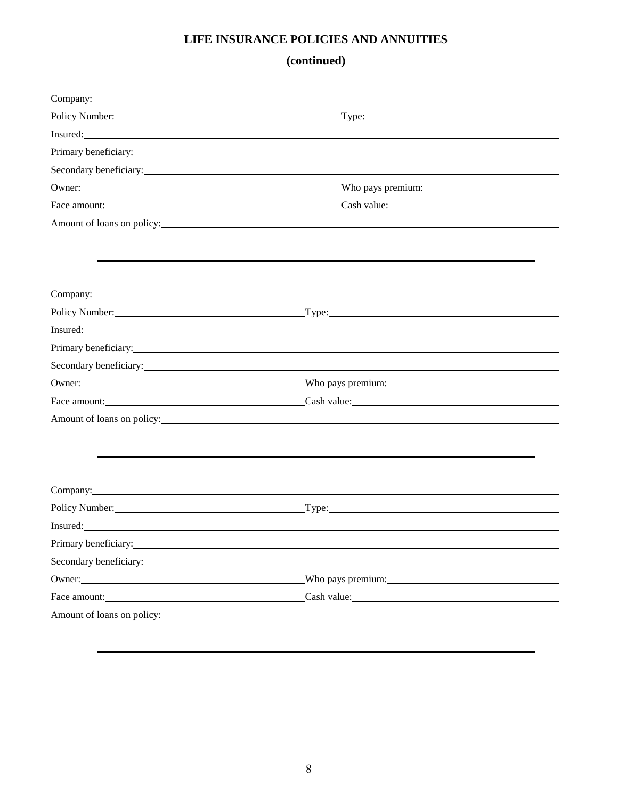# **LIFE INSURANCE POLICIES AND ANNUITIES**

**(continued)**

|                                                                                                                                                                                                                                | Policy Number: Type: Type: Type: Type: Type: Type: Type: Type: Type: Type: Type: Type: Type: Type: Type: Type: Type: Type: Type: Type: Type: Type: Type: Type: Type: Type: Type: Type: Type: Type: Type: Type: Type: Type: Typ      |  |
|--------------------------------------------------------------------------------------------------------------------------------------------------------------------------------------------------------------------------------|-------------------------------------------------------------------------------------------------------------------------------------------------------------------------------------------------------------------------------------|--|
|                                                                                                                                                                                                                                | Insured: <u>Alexander Communication</u> Control of the Communication of the Communication of the Communication of the Communication of the Communication of the Communication of the Communication of the Communication of the Comm |  |
|                                                                                                                                                                                                                                | Primary beneficiary:                                                                                                                                                                                                                |  |
|                                                                                                                                                                                                                                | Secondary beneficiary:                                                                                                                                                                                                              |  |
|                                                                                                                                                                                                                                |                                                                                                                                                                                                                                     |  |
|                                                                                                                                                                                                                                | Face amount: Cash value: Cash value: Cash value:                                                                                                                                                                                    |  |
|                                                                                                                                                                                                                                | Amount of loans on policy:                                                                                                                                                                                                          |  |
|                                                                                                                                                                                                                                |                                                                                                                                                                                                                                     |  |
|                                                                                                                                                                                                                                |                                                                                                                                                                                                                                     |  |
| Company: Company:                                                                                                                                                                                                              |                                                                                                                                                                                                                                     |  |
|                                                                                                                                                                                                                                |                                                                                                                                                                                                                                     |  |
|                                                                                                                                                                                                                                | Insured: https://www.archive.com/communications/communications/communications/communications/communications/communications/communications/communications/communications/communications/communications/communications/communica      |  |
|                                                                                                                                                                                                                                | Primary beneficiary:                                                                                                                                                                                                                |  |
|                                                                                                                                                                                                                                | Secondary beneficiary: example and the secondary secondary secondary secondary secondary secondary secondary secondary secondary secondary secondary secondary secondary secondary secondary secondary secondary secondary sec      |  |
|                                                                                                                                                                                                                                | Owner: Who pays premium: Who pays premium:                                                                                                                                                                                          |  |
|                                                                                                                                                                                                                                | Face amount: Cash value: Cash value:                                                                                                                                                                                                |  |
| Amount of loans on policy:                                                                                                                                                                                                     |                                                                                                                                                                                                                                     |  |
|                                                                                                                                                                                                                                |                                                                                                                                                                                                                                     |  |
|                                                                                                                                                                                                                                |                                                                                                                                                                                                                                     |  |
| Company: Note that the contract of the contract of the contract of the contract of the contract of the contract of the contract of the contract of the contract of the contract of the contract of the contract of the contrac |                                                                                                                                                                                                                                     |  |
|                                                                                                                                                                                                                                |                                                                                                                                                                                                                                     |  |
|                                                                                                                                                                                                                                |                                                                                                                                                                                                                                     |  |
| Primary beneficiary: No. 2014. The contract of the contract of the contract of the contract of the contract of the contract of the contract of the contract of the contract of the contract of the contract of the contract of |                                                                                                                                                                                                                                     |  |
| Secondary beneficiary:                                                                                                                                                                                                         |                                                                                                                                                                                                                                     |  |
| Owner:                                                                                                                                                                                                                         | Who pays premium: Who pays experience when the set of the set of the set of the set of the set of the set of the set of the set of the set of the set of the set of the set of the set of the set of the set of the set of the      |  |
|                                                                                                                                                                                                                                | Face amount: Cash value: Cash value:                                                                                                                                                                                                |  |
|                                                                                                                                                                                                                                | Amount of loans on policy:                                                                                                                                                                                                          |  |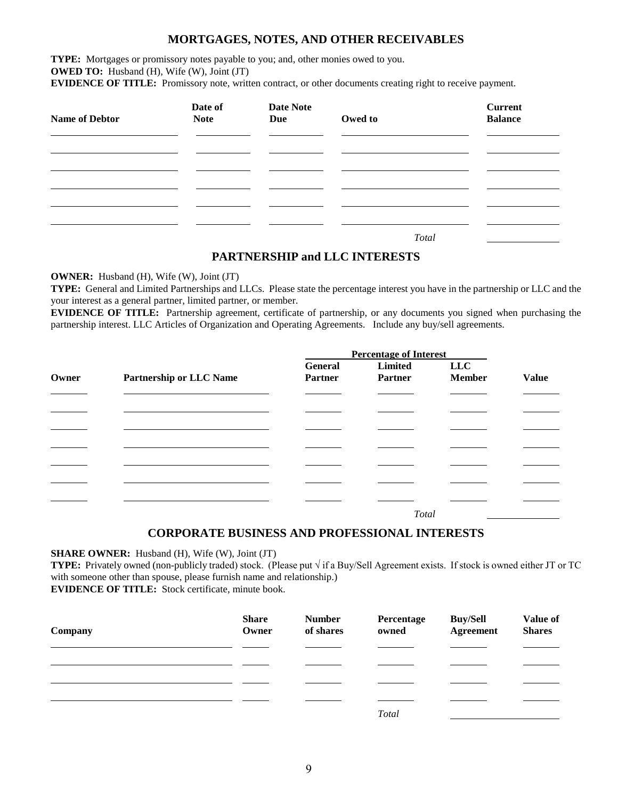#### **MORTGAGES, NOTES, AND OTHER RECEIVABLES**

**TYPE:** Mortgages or promissory notes payable to you; and, other monies owed to you. **OWED TO:** Husband (H), Wife (W), Joint (JT)

**EVIDENCE OF TITLE:** Promissory note, written contract, or other documents creating right to receive payment.

| <b>Name of Debtor</b> | Date of<br><b>Note</b> | <b>Date Note</b><br>Due | Owed to | <b>Current</b><br><b>Balance</b> |
|-----------------------|------------------------|-------------------------|---------|----------------------------------|
|                       |                        |                         |         |                                  |
|                       |                        |                         |         |                                  |
|                       |                        |                         | Total   |                                  |

#### **PARTNERSHIP and LLC INTERESTS**

**OWNER:** Husband (H), Wife (W), Joint (JT)

**TYPE:** General and Limited Partnerships and LLCs. Please state the percentage interest you have in the partnership or LLC and the your interest as a general partner, limited partner, or member.

**EVIDENCE OF TITLE:** Partnership agreement, certificate of partnership, or any documents you signed when purchasing the partnership interest. LLC Articles of Organization and Operating Agreements. Include any buy/sell agreements.

|       |                                | <b>Percentage of Interest</b> |                |               |              |
|-------|--------------------------------|-------------------------------|----------------|---------------|--------------|
|       |                                | General                       | Limited        | <b>LLC</b>    |              |
| Owner | <b>Partnership or LLC Name</b> | Partner                       | <b>Partner</b> | <b>Member</b> | <b>Value</b> |
|       |                                |                               |                |               |              |
|       |                                |                               |                |               |              |
|       |                                |                               |                |               |              |
|       |                                |                               |                |               |              |
|       |                                |                               |                |               |              |
|       |                                |                               |                |               |              |
|       |                                |                               |                |               |              |
|       |                                |                               | Total          |               |              |

#### **CORPORATE BUSINESS AND PROFESSIONAL INTERESTS**

**SHARE OWNER:** Husband (H), Wife (W), Joint (JT)

**TYPE:** Privately owned (non-publicly traded) stock. (Please put √ if a Buy/Sell Agreement exists. If stock is owned either JT or TC with someone other than spouse, please furnish name and relationship.) **EVIDENCE OF TITLE:** Stock certificate, minute book.

| Company | <b>Share</b><br>Owner | <b>Number</b><br>of shares | Percentage<br>owned | <b>Buy/Sell</b><br>Agreement | Value of<br><b>Shares</b> |
|---------|-----------------------|----------------------------|---------------------|------------------------------|---------------------------|
|         |                       |                            |                     |                              |                           |
|         |                       |                            |                     |                              |                           |
|         |                       |                            |                     |                              |                           |
|         |                       |                            |                     |                              |                           |
|         |                       |                            | <b>Total</b>        |                              |                           |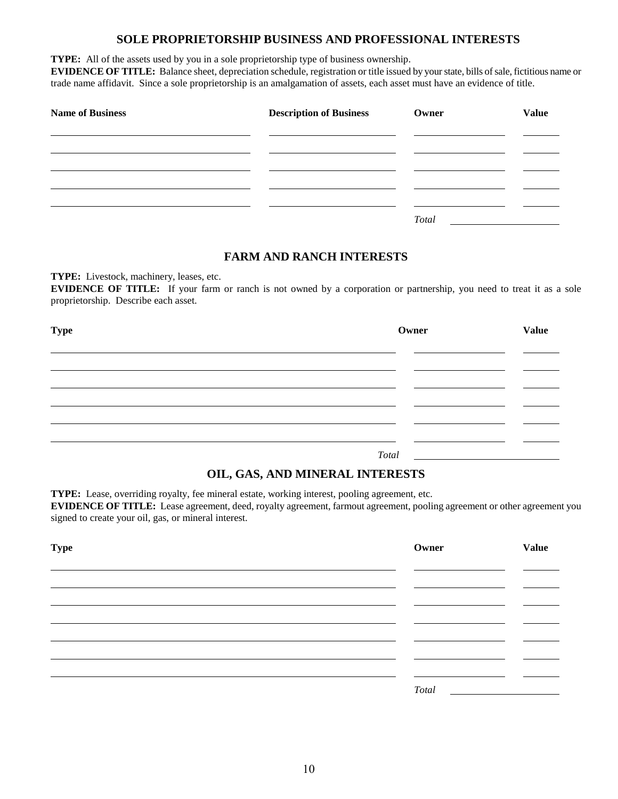#### **SOLE PROPRIETORSHIP BUSINESS AND PROFESSIONAL INTERESTS**

**TYPE:** All of the assets used by you in a sole proprietorship type of business ownership.

**EVIDENCE OF TITLE:** Balance sheet, depreciation schedule, registration or title issued by your state, bills of sale, fictitious name or trade name affidavit. Since a sole proprietorship is an amalgamation of assets, each asset must have an evidence of title.

| <b>Name of Business</b> | <b>Description of Business</b> | Owner | <b>Value</b> |
|-------------------------|--------------------------------|-------|--------------|
|                         |                                |       |              |
|                         |                                |       |              |
|                         |                                |       |              |
|                         |                                | Total |              |

#### **FARM AND RANCH INTERESTS**

**TYPE:** Livestock, machinery, leases, etc.

**EVIDENCE OF TITLE:** If your farm or ranch is not owned by a corporation or partnership, you need to treat it as a sole proprietorship. Describe each asset.

| <b>Type</b> |       | Owner | <b>Value</b> |
|-------------|-------|-------|--------------|
|             |       |       |              |
|             |       |       |              |
|             |       |       |              |
|             |       |       |              |
|             | Total |       |              |

### **OIL, GAS, AND MINERAL INTERESTS**

**TYPE:** Lease, overriding royalty, fee mineral estate, working interest, pooling agreement, etc. **EVIDENCE OF TITLE:** Lease agreement, deed, royalty agreement, farmout agreement, pooling agreement or other agreement you signed to create your oil, gas, or mineral interest.

| <b>Type</b> | Owner | <b>Value</b> |
|-------------|-------|--------------|
|             |       |              |
|             |       |              |
|             |       |              |
|             |       |              |
|             |       |              |
|             | Total |              |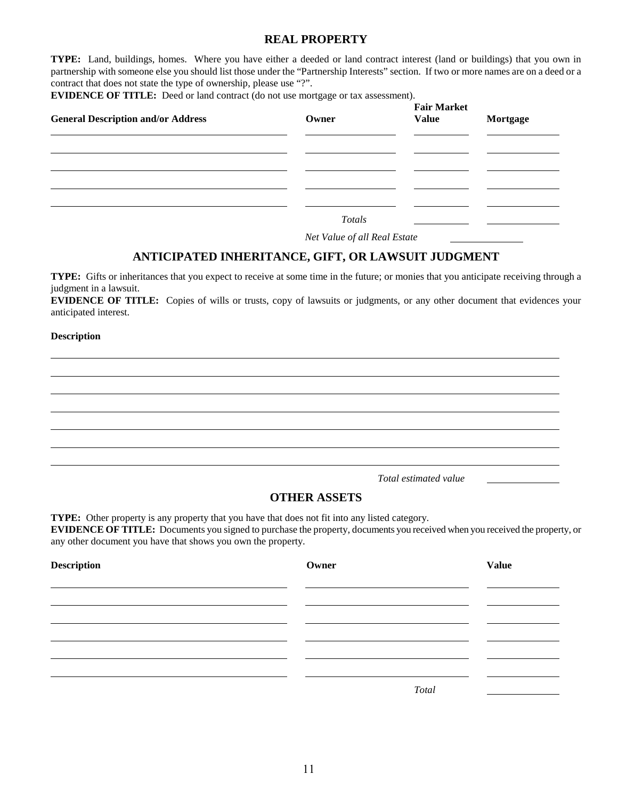#### **REAL PROPERTY**

**TYPE:** Land, buildings, homes. Where you have either a deeded or land contract interest (land or buildings) that you own in partnership with someone else you should list those under the "Partnership Interests" section. If two or more names are on a deed or a contract that does not state the type of ownership, please use "?".

**EVIDENCE OF TITLE:** Deed or land contract (do not use mortgage or tax assessment).

| <b>General Description and/or Address</b> | Owner  | <b>Fair Market</b><br><b>Value</b> | Mortgage |
|-------------------------------------------|--------|------------------------------------|----------|
|                                           |        |                                    |          |
|                                           |        |                                    |          |
|                                           |        |                                    |          |
|                                           | Totals |                                    |          |

*Net Value of all Real Estate* 

#### **ANTICIPATED INHERITANCE, GIFT, OR LAWSUIT JUDGMENT**

**TYPE:** Gifts or inheritances that you expect to receive at some time in the future; or monies that you anticipate receiving through a judgment in a lawsuit.

**EVIDENCE OF TITLE:** Copies of wills or trusts, copy of lawsuits or judgments, or any other document that evidences your anticipated interest.

#### **Description**

 $\ddot{\phantom{a}}$ 

*Total estimated value* 

#### **OTHER ASSETS**

**TYPE:** Other property is any property that you have that does not fit into any listed category.

**EVIDENCE OF TITLE:** Documents you signed to purchase the property, documents you received when you received the property, or any other document you have that shows you own the property.

| Description | Owner | <b>Value</b> |
|-------------|-------|--------------|
|             |       |              |
|             |       |              |
|             |       |              |
|             |       |              |
|             |       |              |
|             |       | Total        |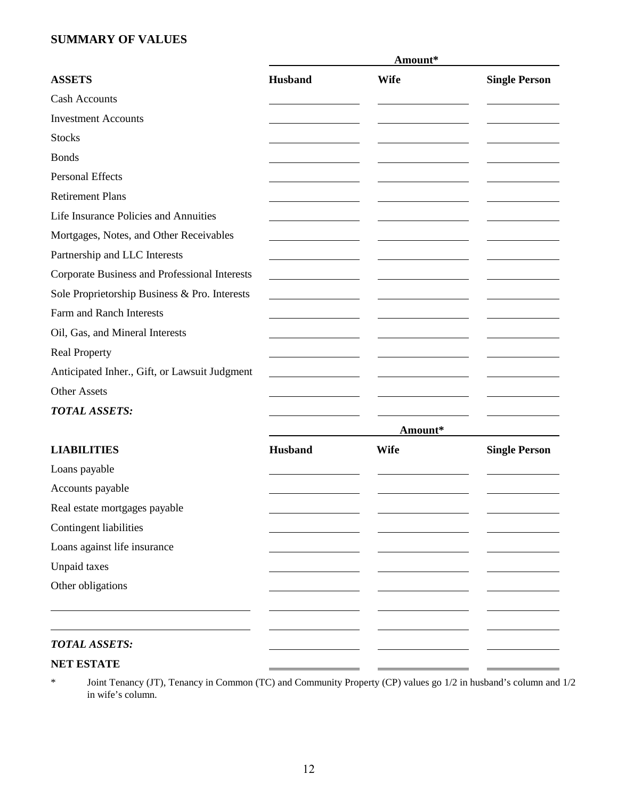## **SUMMARY OF VALUES**

|                                                      |                | Amount*     |                      |
|------------------------------------------------------|----------------|-------------|----------------------|
| <b>ASSETS</b>                                        | <b>Husband</b> | <b>Wife</b> | <b>Single Person</b> |
| <b>Cash Accounts</b>                                 |                |             |                      |
| <b>Investment Accounts</b>                           |                |             |                      |
| <b>Stocks</b>                                        |                |             |                      |
| <b>Bonds</b>                                         |                |             |                      |
| Personal Effects                                     |                |             |                      |
| <b>Retirement Plans</b>                              |                |             |                      |
| Life Insurance Policies and Annuities                |                |             |                      |
| Mortgages, Notes, and Other Receivables              |                |             |                      |
| Partnership and LLC Interests                        |                |             |                      |
| <b>Corporate Business and Professional Interests</b> |                |             |                      |
| Sole Proprietorship Business & Pro. Interests        |                |             |                      |
| Farm and Ranch Interests                             |                |             |                      |
| Oil, Gas, and Mineral Interests                      |                |             |                      |
| <b>Real Property</b>                                 |                |             |                      |
| Anticipated Inher., Gift, or Lawsuit Judgment        |                |             |                      |
| <b>Other Assets</b>                                  |                |             |                      |
| <b>TOTAL ASSETS:</b>                                 |                |             |                      |
|                                                      |                | Amount*     |                      |
| <b>LIABILITIES</b>                                   | Husband        | <b>Wife</b> | <b>Single Person</b> |
| Loans payable                                        |                |             |                      |
| Accounts payable                                     |                |             |                      |
| Real estate mortgages payable                        |                |             |                      |
| Contingent liabilities                               |                |             |                      |
| Loans against life insurance                         |                |             |                      |
| <b>Unpaid taxes</b>                                  |                |             |                      |
| Other obligations                                    |                |             |                      |
|                                                      |                |             |                      |
|                                                      |                |             |                      |
| <b>TOTAL ASSETS:</b>                                 |                |             |                      |
| <b>NET ESTATE</b>                                    |                |             |                      |

\* Joint Tenancy (JT), Tenancy in Common (TC) and Community Property (CP) values go 1/2 in husband's column and 1/2 in wife's column.